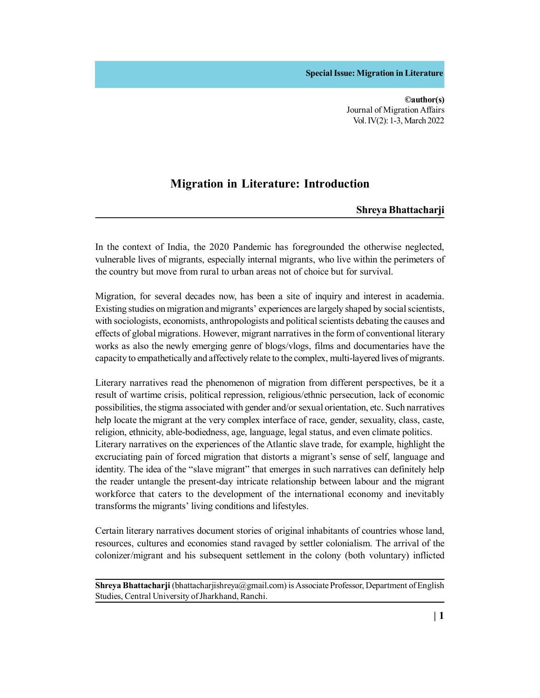**Special Issue: Migration in Literature**

**©author(s)** Journal of Migration Affairs Vol. IV(2): 1-3, March 2022

## **Migration in Literature: Introduction**

## **Shreya Bhattacharji**

In the context of India, the 2020 Pandemic has foregrounded the otherwise neglected, vulnerable lives of migrants, especially internal migrants, who live within the perimeters of the country but move from rural to urban areas not of choice but for survival.

Migration, for several decades now, has been a site of inquiry and interest in academia. Existing studies on migration and migrants' experiences are largely shaped by social scientists, with sociologists, economists, anthropologists and political scientists debating the causes and effects of global migrations. However, migrant narratives in the form of conventional literary works as also the newly emerging genre of blogs/vlogs, films and documentaries have the capacity to empathetically and affectively relate to the complex, multi-layered lives of migrants.

Literary narratives read the phenomenon of migration from different perspectives, be it a result of wartime crisis, political repression, religious/ethnic persecution, lack of economic possibilities, the stigma associated with gender and/or sexual orientation, etc. Such narratives help locate the migrant at the very complex interface of race, gender, sexuality, class, caste, religion, ethnicity, able-bodiedness, age, language, legal status, and even climate politics. Literary narratives on the experiences of the Atlantic slave trade, for example, highlight the excruciating pain of forced migration that distorts a migrant's sense of self, language and identity. The idea of the "slave migrant" that emerges in such narratives can definitely help the reader untangle the present-day intricate relationship between labour and the migrant workforce that caters to the development of the international economy and inevitably transforms the migrants' living conditions and lifestyles.

Certain literary narratives document stories of original inhabitants of countries whose land, resources, cultures and economies stand ravaged by settler colonialism. The arrival of the colonizer/migrant and his subsequent settlement in the colony (both voluntary) inflicted

**Shreya Bhattacharji** (bhattacharjishreya@gmail.com) is Associate Professor, Department of English Studies, Central University of Jharkhand, Ranchi.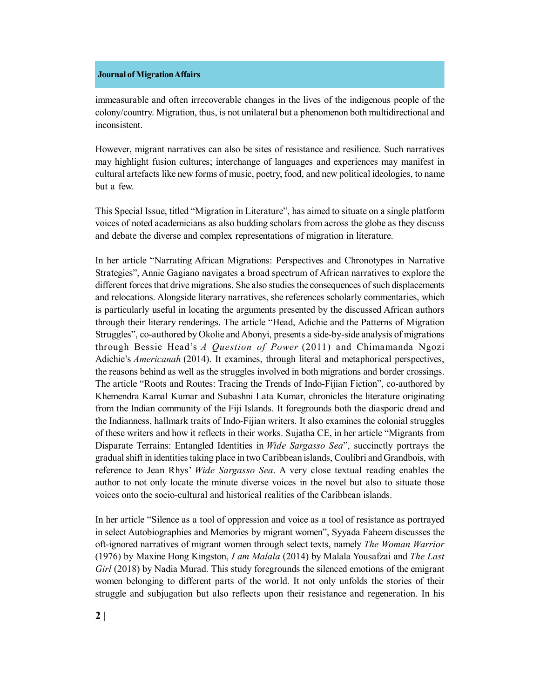## **Journal of Migration Affairs**

immeasurable and often irrecoverable changes in the lives of the indigenous people of the colony/country. Migration, thus, is not unilateral but a phenomenon both multidirectional and inconsistent.

However, migrant narratives can also be sites of resistance and resilience. Such narratives may highlight fusion cultures; interchange of languages and experiences may manifest in cultural artefacts like new forms of music, poetry, food, and new political ideologies, to name but a few.

This Special Issue, titled "Migration in Literature", has aimed to situate on a single platform voices of noted academicians as also budding scholars from across the globe as they discuss and debate the diverse and complex representations of migration in literature.

In her article "Narrating African Migrations: Perspectives and Chronotypes in Narrative Strategies", Annie Gagiano navigates a broad spectrum of African narratives to explore the different forces that drive migrations. She also studies the consequences of such displacements and relocations. Alongside literary narratives, she references scholarly commentaries, which is particularly useful in locating the arguments presented by the discussed African authors through their literary renderings. The article "Head, Adichie and the Patterns of Migration Struggles", co-authored by Okolie and Abonyi, presents a side-by-side analysis of migrations through Bessie Head's *A Question of Power* (2011) and Chimamanda Ngozi Adichie's *Americanah* (2014). It examines, through literal and metaphorical perspectives, the reasons behind as well as the struggles involved in both migrations and border crossings. The article "Roots and Routes: Tracing the Trends of Indo-Fijian Fiction", co-authored by Khemendra Kamal Kumar and Subashni Lata Kumar, chronicles the literature originating from the Indian community of the Fiji Islands. It foregrounds both the diasporic dread and the Indianness, hallmark traits of Indo-Fijian writers. It also examines the colonial struggles of these writers and how it reflects in their works. Sujatha CE, in her article "Migrants from Disparate Terrains: Entangled Identities in *Wide Sargasso Sea*", succinctly portrays the gradual shift in identities taking place in two Caribbean islands, Coulibri and Grandbois, with reference to Jean Rhys' *Wide Sargasso Sea*. A very close textual reading enables the author to not only locate the minute diverse voices in the novel but also to situate those voices onto the socio-cultural and historical realities of the Caribbean islands.

In her article "Silence as a tool of oppression and voice as a tool of resistance as portrayed in select Autobiographies and Memories by migrant women", Syyada Faheem discusses the oft-ignored narratives of migrant women through select texts, namely *The Woman Warrior* (1976) by Maxine Hong Kingston, *I am Malala* (2014) by Malala Yousafzai and *The Last Girl* (2018) by Nadia Murad. This study foregrounds the silenced emotions of the emigrant women belonging to different parts of the world. It not only unfolds the stories of their struggle and subjugation but also reflects upon their resistance and regeneration. In his